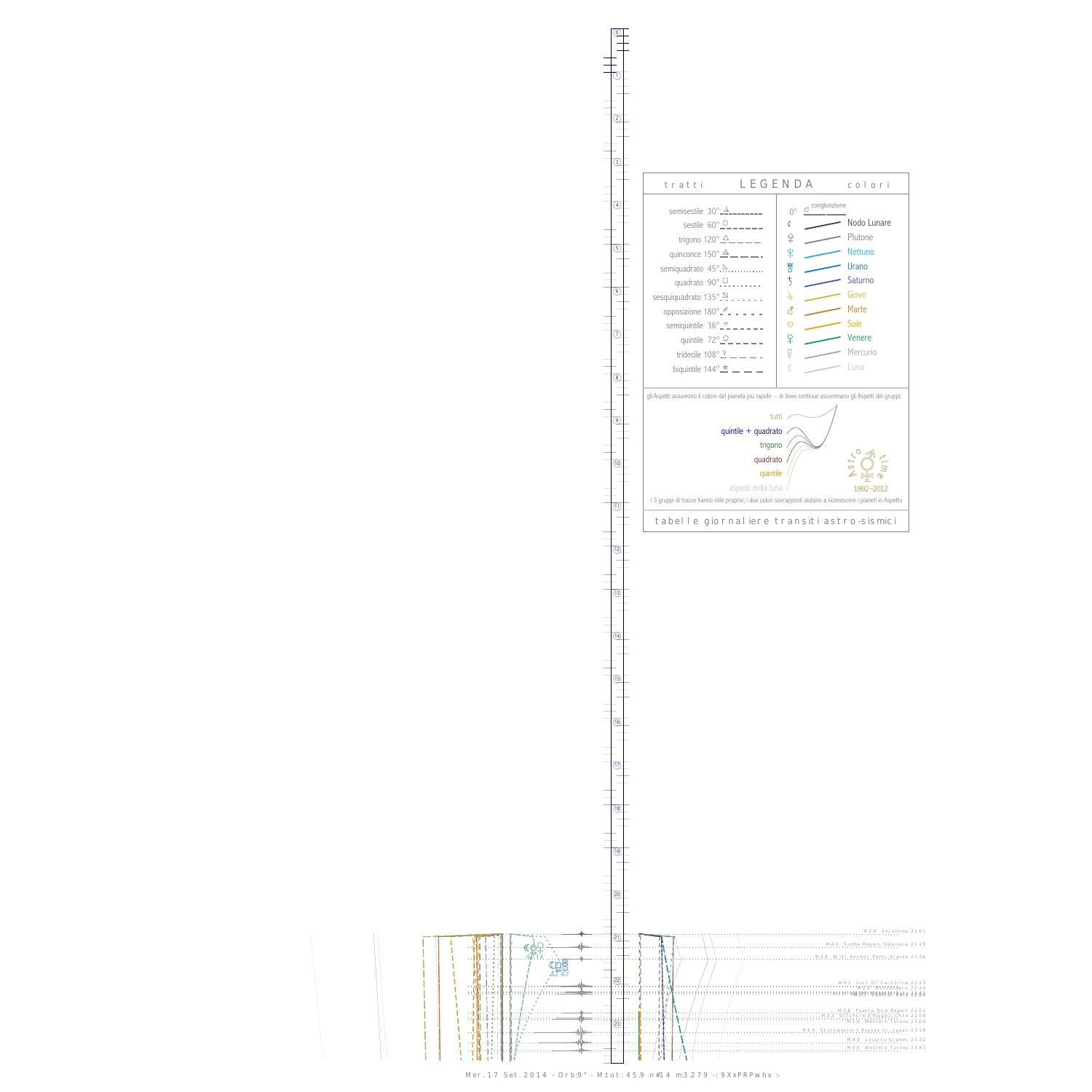